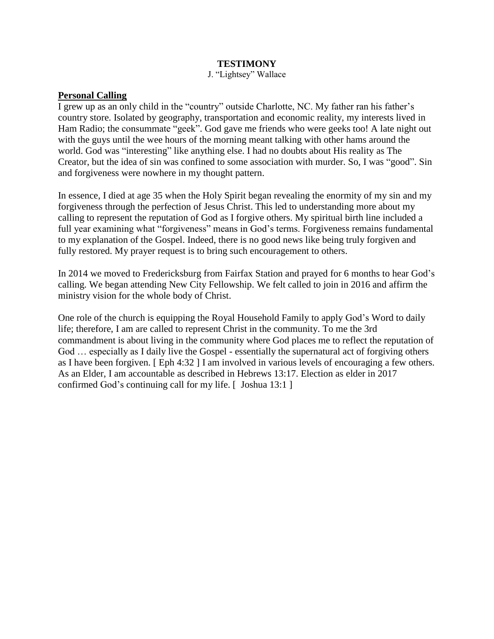### **TESTIMONY**

J. "Lightsey" Wallace

### **Personal Calling**

I grew up as an only child in the "country" outside Charlotte, NC. My father ran his father's country store. Isolated by geography, transportation and economic reality, my interests lived in Ham Radio; the consummate "geek". God gave me friends who were geeks too! A late night out with the guys until the wee hours of the morning meant talking with other hams around the world. God was "interesting" like anything else. I had no doubts about His reality as The Creator, but the idea of sin was confined to some association with murder. So, I was "good". Sin and forgiveness were nowhere in my thought pattern.

In essence, I died at age 35 when the Holy Spirit began revealing the enormity of my sin and my forgiveness through the perfection of Jesus Christ. This led to understanding more about my calling to represent the reputation of God as I forgive others. My spiritual birth line included a full year examining what "forgiveness" means in God's terms. Forgiveness remains fundamental to my explanation of the Gospel. Indeed, there is no good news like being truly forgiven and fully restored. My prayer request is to bring such encouragement to others.

In 2014 we moved to Fredericksburg from Fairfax Station and prayed for 6 months to hear God's calling. We began attending New City Fellowship. We felt called to join in 2016 and affirm the ministry vision for the whole body of Christ.

One role of the church is equipping the Royal Household Family to apply God's Word to daily life; therefore, I am are called to represent Christ in the community. To me the 3rd commandment is about living in the community where God places me to reflect the reputation of God … especially as I daily live the Gospel - essentially the supernatural act of forgiving others as I have been forgiven. [ Eph 4:32 ] I am involved in various levels of encouraging a few others. As an Elder, I am accountable as described in Hebrews 13:17. Election as elder in 2017 confirmed God's continuing call for my life. [ Joshua 13:1 ]